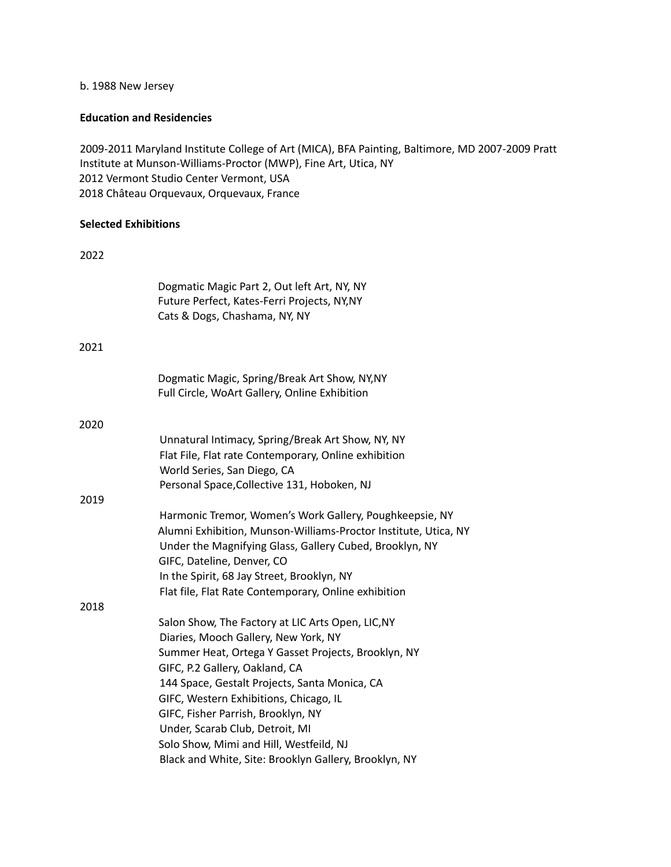#### b. 1988 New Jersey

# **Education and Residencies**

2009-2011 Maryland Institute College of Art (MICA), BFA Painting, Baltimore, MD 2007-2009 Pratt Institute at Munson-Williams-Proctor (MWP), Fine Art, Utica, NY 2012 Vermont Studio Center Vermont, USA 2018 Château Orquevaux, Orquevaux, France

# **Selected Exhibitions**

### 2022

|      | Dogmatic Magic Part 2, Out left Art, NY, NY<br>Future Perfect, Kates-Ferri Projects, NY,NY<br>Cats & Dogs, Chashama, NY, NY                                                                                         |
|------|---------------------------------------------------------------------------------------------------------------------------------------------------------------------------------------------------------------------|
| 2021 |                                                                                                                                                                                                                     |
|      | Dogmatic Magic, Spring/Break Art Show, NY, NY<br>Full Circle, WoArt Gallery, Online Exhibition                                                                                                                      |
| 2020 |                                                                                                                                                                                                                     |
|      | Unnatural Intimacy, Spring/Break Art Show, NY, NY                                                                                                                                                                   |
|      | Flat File, Flat rate Contemporary, Online exhibition                                                                                                                                                                |
|      | World Series, San Diego, CA                                                                                                                                                                                         |
|      | Personal Space, Collective 131, Hoboken, NJ                                                                                                                                                                         |
| 2019 |                                                                                                                                                                                                                     |
|      | Harmonic Tremor, Women's Work Gallery, Poughkeepsie, NY<br>Alumni Exhibition, Munson-Williams-Proctor Institute, Utica, NY<br>Under the Magnifying Glass, Gallery Cubed, Brooklyn, NY<br>GIFC, Dateline, Denver, CO |
|      | In the Spirit, 68 Jay Street, Brooklyn, NY                                                                                                                                                                          |
|      | Flat file, Flat Rate Contemporary, Online exhibition                                                                                                                                                                |
| 2018 |                                                                                                                                                                                                                     |
|      | Salon Show, The Factory at LIC Arts Open, LIC, NY                                                                                                                                                                   |
|      | Diaries, Mooch Gallery, New York, NY                                                                                                                                                                                |
|      | Summer Heat, Ortega Y Gasset Projects, Brooklyn, NY                                                                                                                                                                 |
|      | GIFC, P.2 Gallery, Oakland, CA                                                                                                                                                                                      |
|      | 144 Space, Gestalt Projects, Santa Monica, CA                                                                                                                                                                       |
|      | GIFC, Western Exhibitions, Chicago, IL                                                                                                                                                                              |
|      | GIFC, Fisher Parrish, Brooklyn, NY                                                                                                                                                                                  |
|      | Under, Scarab Club, Detroit, MI                                                                                                                                                                                     |
|      | Solo Show, Mimi and Hill, Westfeild, NJ<br>Black and White, Site: Brooklyn Gallery, Brooklyn, NY                                                                                                                    |
|      |                                                                                                                                                                                                                     |